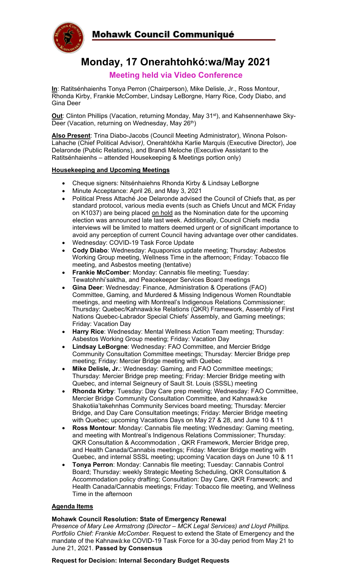

# **Monday, 17 Onerahtohkó:wa/May 2021**

### **Meeting held via Video Conference**

**In**: Ratitsénhaienhs Tonya Perron (Chairperson), Mike Delisle, Jr., Ross Montour, Rhonda Kirby, Frankie McComber, Lindsay LeBorgne, Harry Rice, Cody Diabo, and Gina Deer

**Out**: Clinton Phillips (Vacation, returning Monday, May 31<sup>st</sup>), and Kahsennenhawe Sky-Deer (Vacation, returning on Wednesday, May 26<sup>th</sup>)

**Also Present**: Trina Diabo-Jacobs (Council Meeting Administrator), Winona Polson-Lahache (Chief Political Advisor*),* Onerahtókha Karlie Marquis (Executive Director), Joe Delaronde (Public Relations), and Brandi Meloche (Executive Assistant to the Ratitsénhaienhs – attended Housekeeping & Meetings portion only)

#### **Housekeeping and Upcoming Meetings**

- Cheque signers: Nitsénhaiehns Rhonda Kirby & Lindsay LeBorgne
- Minute Acceptance: April 26, and May 3, 2021
- Political Press Attaché Joe Delaronde advised the Council of Chiefs that, as per standard protocol, various media events (such as Chiefs Uncut and MCK Friday on K1037) are being placed on hold as the Nomination date for the upcoming election was announced late last week. Additionally, Council Chiefs media interviews will be limited to matters deemed urgent or of significant importance to avoid any perception of current Council having advantage over other candidates.
- Wednesday: COVID-19 Task Force Update
- **Cody Diabo**: Wednesday: Aquaponics update meeting; Thursday: Asbestos Working Group meeting, Wellness Time in the afternoon; Friday: Tobacco file meeting, and Asbestos meeting (tentative)
- **Frankie McComber:** Monday: Cannabis file meeting; Tuesday: Tewatohnhi'saktha, and Peacekeeper Services Board meetings
- **Gina Deer**: Wednesday: Finance, Administration & Operations (FAO) Committee, Gaming, and Murdered & Missing Indigenous Women Roundtable meetings, and meeting with Montreal's Indigenous Relations Commissioner; Thursday: Quebec/Kahnawà:ke Relations (QKR) Framework, Assembly of First Nations Quebec-Labrador Special Chiefs' Assembly, and Gaming meetings; Friday: Vacation Day
- **Harry Rice**: Wednesday: Mental Wellness Action Team meeting; Thursday: Asbestos Working Group meeting; Friday: Vacation Day
- **Lindsay LeBorgne**: Wednesday: FAO Committee, and Mercier Bridge Community Consultation Committee meetings; Thursday: Mercier Bridge prep meeting; Friday: Mercier Bridge meeting with Quebec
- **Mike Delisle, Jr.**: Wednesday: Gaming, and FAO Committee meetings; Thursday: Mercier Bridge prep meeting; Friday: Mercier Bridge meeting with Quebec, and internal Seigneury of Sault St. Louis (SSSL) meeting
- **Rhonda Kirby**: Tuesday: Day Care prep meeting; Wednesday: FAO Committee, Mercier Bridge Community Consultation Committee, and Kahnawà:ke Shakotiia'takehnhas Community Services board meeting; Thursday: Mercier Bridge, and Day Care Consultation meetings; Friday: Mercier Bridge meeting with Quebec; upcoming Vacations Days on May 27 & 28, and June 10 & 11
- **Ross Montour**: Monday: Cannabis file meeting; Wednesday: Gaming meeting, and meeting with Montreal's Indigenous Relations Commissioner; Thursday: QKR Consultation & Accommodation , QKR Framework, Mercier Bridge prep, and Health Canada/Cannabis meetings; Friday: Mercier Bridge meeting with Quebec, and internal SSSL meeting; upcoming Vacation days on June 10 & 11
- **Tonya Perron**: Monday: Cannabis file meeting; Tuesday: Cannabis Control Board; Thursday: weekly Strategic Meeting Scheduling, QKR Consultation & Accommodation policy drafting; Consultation: Day Care, QKR Framework; and Health Canada/Cannabis meetings; Friday: Tobacco file meeting, and Wellness Time in the afternoon

#### **Agenda Items**

#### **Mohawk Council Resolution: State of Emergency Renewal**

*Presence of Mary Lee Armstrong (Director – MCK Legal Services) and Lloyd Phillips. Portfolio Chief: Frankie McComber.* Request to extend the State of Emergency and the mandate of the Kahnawà:ke COVID-19 Task Force for a 30-day period from May 21 to June 21, 2021. **Passed by Consensus**

#### **Request for Decision: Internal Secondary Budget Requests**